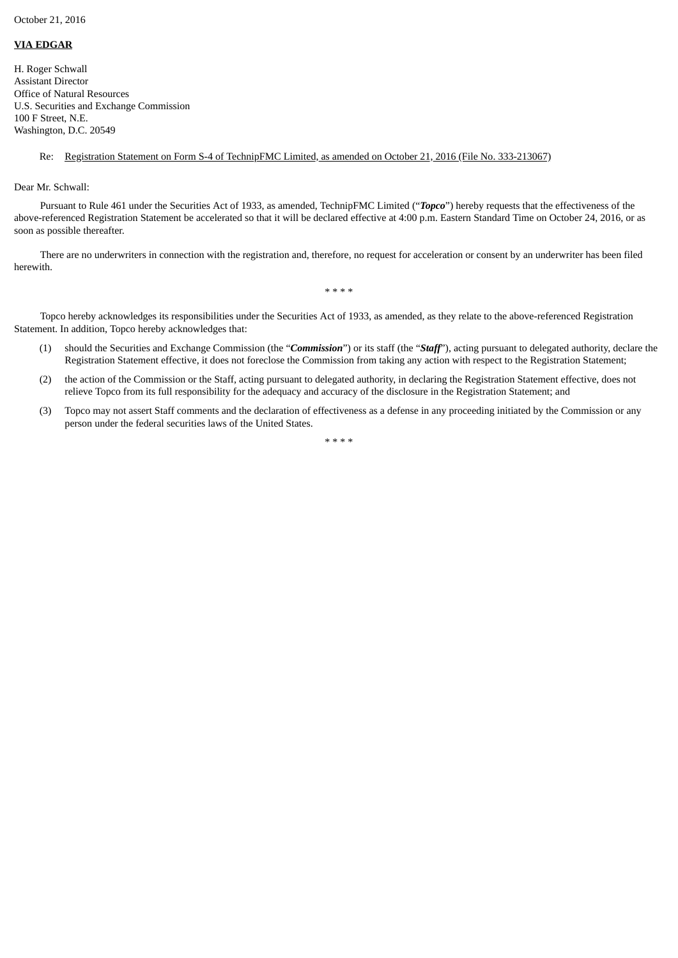## **VIA EDGAR**

H. Roger Schwall Assistant Director Office of Natural Resources U.S. Securities and Exchange Commission 100 F Street, N.E. Washington, D.C. 20549

## Re: Registration Statement on Form S-4 of TechnipFMC Limited, as amended on October 21, 2016 (File No. 333-213067)

Dear Mr. Schwall:

Pursuant to Rule 461 under the Securities Act of 1933, as amended, TechnipFMC Limited ("*Topco*") hereby requests that the effectiveness of the above-referenced Registration Statement be accelerated so that it will be declared effective at 4:00 p.m. Eastern Standard Time on October 24, 2016, or as soon as possible thereafter.

There are no underwriters in connection with the registration and, therefore, no request for acceleration or consent by an underwriter has been filed herewith.

\* \* \* \*

Topco hereby acknowledges its responsibilities under the Securities Act of 1933, as amended, as they relate to the above-referenced Registration Statement. In addition, Topco hereby acknowledges that:

- (1) should the Securities and Exchange Commission (the "*Commission*") or its staff (the "*Staff*"), acting pursuant to delegated authority, declare the Registration Statement effective, it does not foreclose the Commission from taking any action with respect to the Registration Statement;
- (2) the action of the Commission or the Staff, acting pursuant to delegated authority, in declaring the Registration Statement effective, does not relieve Topco from its full responsibility for the adequacy and accuracy of the disclosure in the Registration Statement; and
- (3) Topco may not assert Staff comments and the declaration of effectiveness as a defense in any proceeding initiated by the Commission or any person under the federal securities laws of the United States.

\* \* \* \*